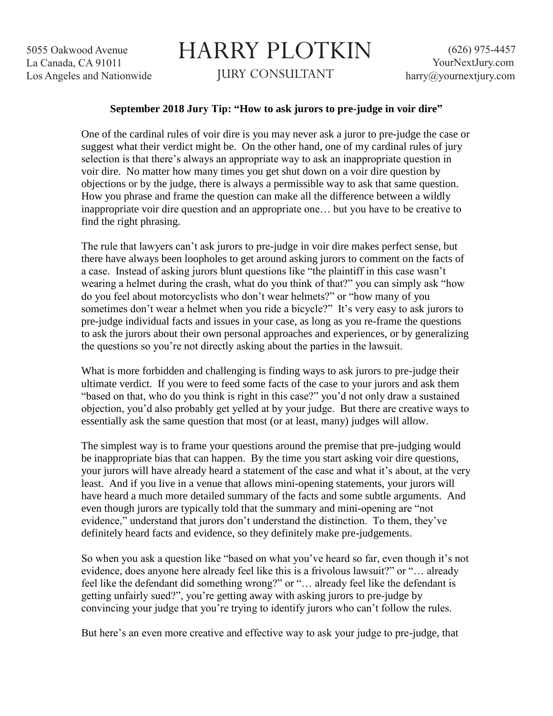5055 Oakwood Avenue La Canada, CA 91011 Los Angeles and Nationwide

## HARRY PLOTKIN JURY CONSULTANT

## **September 2018 Jury Tip: "How to ask jurors to pre-judge in voir dire"**

One of the cardinal rules of voir dire is you may never ask a juror to pre-judge the case or suggest what their verdict might be. On the other hand, one of my cardinal rules of jury selection is that there's always an appropriate way to ask an inappropriate question in voir dire. No matter how many times you get shut down on a voir dire question by objections or by the judge, there is always a permissible way to ask that same question. How you phrase and frame the question can make all the difference between a wildly inappropriate voir dire question and an appropriate one… but you have to be creative to find the right phrasing.

The rule that lawyers can't ask jurors to pre-judge in voir dire makes perfect sense, but there have always been loopholes to get around asking jurors to comment on the facts of a case. Instead of asking jurors blunt questions like "the plaintiff in this case wasn't wearing a helmet during the crash, what do you think of that?" you can simply ask "how do you feel about motorcyclists who don't wear helmets?" or "how many of you sometimes don't wear a helmet when you ride a bicycle?" It's very easy to ask jurors to pre-judge individual facts and issues in your case, as long as you re-frame the questions to ask the jurors about their own personal approaches and experiences, or by generalizing the questions so you're not directly asking about the parties in the lawsuit.

What is more forbidden and challenging is finding ways to ask jurors to pre-judge their ultimate verdict. If you were to feed some facts of the case to your jurors and ask them "based on that, who do you think is right in this case?" you'd not only draw a sustained objection, you'd also probably get yelled at by your judge. But there are creative ways to essentially ask the same question that most (or at least, many) judges will allow.

The simplest way is to frame your questions around the premise that pre-judging would be inappropriate bias that can happen. By the time you start asking voir dire questions, your jurors will have already heard a statement of the case and what it's about, at the very least. And if you live in a venue that allows mini-opening statements, your jurors will have heard a much more detailed summary of the facts and some subtle arguments. And even though jurors are typically told that the summary and mini-opening are "not evidence," understand that jurors don't understand the distinction. To them, they've definitely heard facts and evidence, so they definitely make pre-judgements.

So when you ask a question like "based on what you've heard so far, even though it's not evidence, does anyone here already feel like this is a frivolous lawsuit?" or "… already feel like the defendant did something wrong?" or "… already feel like the defendant is getting unfairly sued?", you're getting away with asking jurors to pre-judge by convincing your judge that you're trying to identify jurors who can't follow the rules.

But here's an even more creative and effective way to ask your judge to pre-judge, that